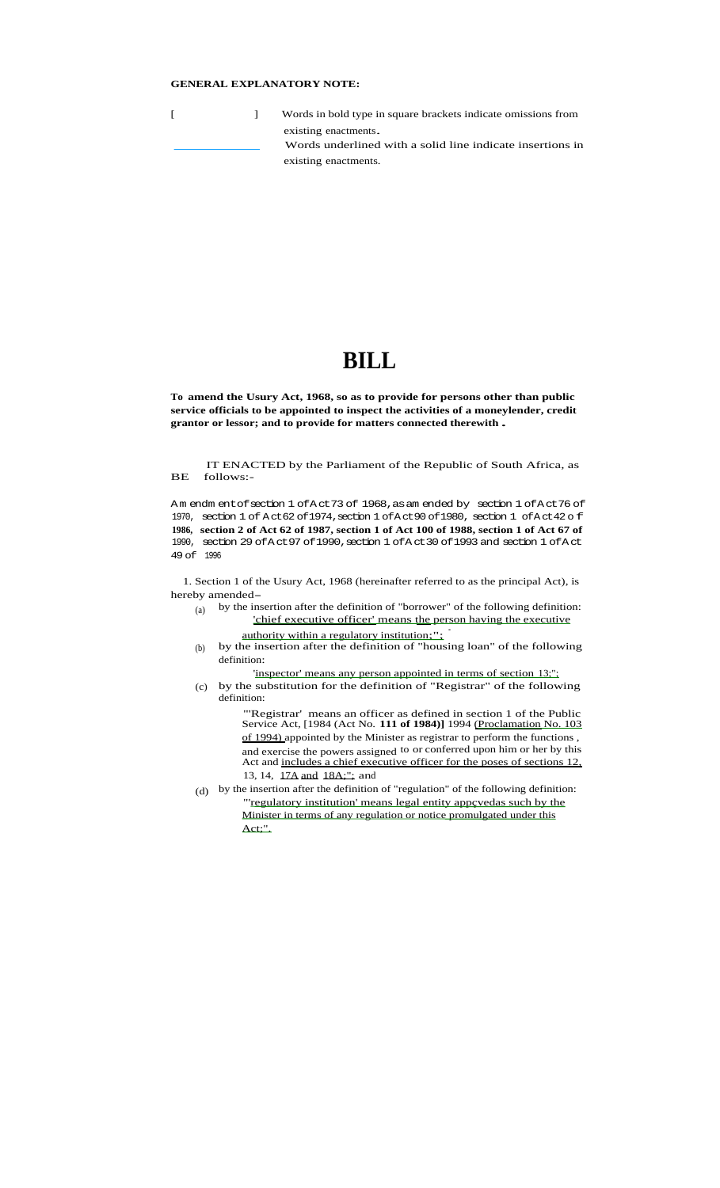# **GENERAL EXPLANATORY NOTE:**

[ ] Words in bold type in square brackets indicate omissions from existing enactments. Words underlined with a solid line indicate insertions in existing enactments.

# **BILL**

**To amend the Usury Act, 1968, so as to provide for persons other than public service officials to be appointed to inspect the activities of a moneylender, credit grantor or lessor; and to provide for matters connected therewith .**

BE IT ENACTED by the Parliament of the Republic of South Africa, as follows:-

Amendm entofsection 1 of Act 73 of 1968, as amended by section 1 of Act 76 of 1970, section 1 of Act 62 of 1974, section 1 of Act 90 of 1980, section 1 of Act 42 of **1986, section 2 of Act 62 of 1987, section 1 of Act 100 of 1988, section 1 of Act 67 of** 1990, section 29 ofAct97 of1990,section 1 ofAct30 of1993 and section 1 ofAct 49 of 1996

1. Section 1 of the Usury Act, 1968 (hereinafter referred to as the principal Act), is hereby amended– $\begin{bmatrix} a \\ b \end{bmatrix}$  by the inst

- by the insertion after the definition of "borrower" of the following definition: 'chief executive officer' means the person having the executive authority within a regulatory institution;";
- (b) by the insertion after the definition of "housing loan" of the following definition:
	- 'inspector' means any person appointed in terms of section 13;";
- (c) by the substitution for the definition of "Registrar" of the following definition:

"'Registrar' means an officer as defined in section 1 of the Public Service Act, [1984 (Act No. **111 of 1984)]** 1994 (Proclamation No. 103 of 1994) appointed by the Minister as registrar to perform the functions, and exercise the powers assigned to or conferred upon him or her by this Act and includes a chief executive officer for the poses of sections 12, 13, 14, 17A and 18A;"; and

(d) by the insertion after the definition of "regulation" of the following definition: "'regulatory institution' means legal entity appçvedas such by the Minister in terms of any regulation or notice promulgated under this Act;".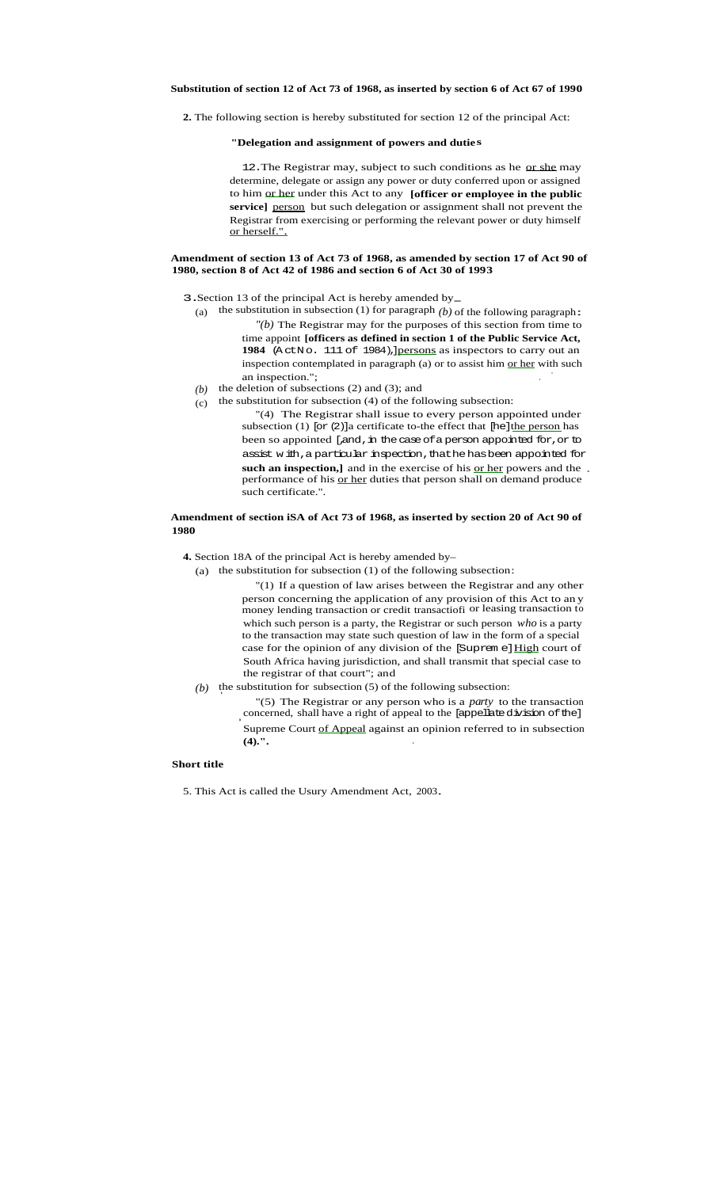**2.** The following section is hereby substituted for section 12 of the principal Act:

## **"Delegation and assignment of powers and duties**

12. The Registrar may, subject to such conditions as he or she may determine, delegate or assign any power or duty conferred upon or assigned to him or her under this Act to any **[officer or employee in the public** service] person but such delegation or assignment shall not prevent the Registrar from exercising or performing the relevant power or duty himself or herself.".

#### **Amendment of section 13 of Act 73 of 1968, as amended by section 17 of Act 90 of 1980, section 8 of Act 42 of 1986 and section 6 of Act 30 of 1993**

- 3. Section 13 of the principal Act is hereby amended by-
	- (a) the substitution in subsection (1) for paragraph  $(b)$  of the following paragraph: *"(b)* The Registrar may for the purposes of this section from time to time appoint **[officers as defined in section 1 of the Public Service Act, 1984** (ActNo. 111 of 1984),]persons as inspectors to carry out an inspection contemplated in paragraph (a) or to assist him or her with such
	- an inspection.":  $(b)$  the deletion of subsections (2) and (3); and
	- $(c)$  the substitution for subsection (4) of the following subsection:
		- "(4) The Registrar shall issue to every person appointed under subsection (1) [or  $(2)$ ] a certificate to-the effect that [he] the person has been so appointed [,and, in the case of a person appointed for, or to assist with, a particular inspection, thathe has been appointed for such an inspection,] and in the exercise of his or her powers and the performance of his <u>or her</u> duties that person shall on demand produce such certificate.".

## **Amendment of section iSA of Act 73 of 1968, as inserted by section 20 of Act 90 of 1980**

- **4.** Section 18A of the principal Act is hereby amended by–
	- (a) the substitution for subsection (1) of the following subsection:
		- "(1) If a question of law arises between the Registrar and any other person concerning the application of any provision of this Act to an y money lending transaction or credit transactiofi or leasing transaction to which such person is a party, the Registrar or such person *who* is a party to the transaction may state such question of law in the form of a special case for the opinion of any division of the [Suprem e] High court of South Africa having jurisdiction, and shall transmit that special case to the registrar of that court"; and
	-
	- *(b)* the substitution for subsection (5) of the following subsection:  $"$ (5) The Registrar or any person who is a *party* to the transaction concerned, shall have a right of appeal to the [appellate division of the] **•** Supreme Court of Appeal against an opinion referred to in subsection **'(4).". -**

#### **Short title**

5. This Act is called the Usury Amendment Act, 2003.